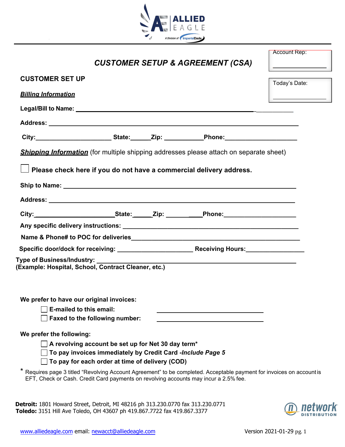

| <b>CUSTOMER SETUP &amp; AGREEMENT (CSA)</b>                                                                                                                                                                   | <b>Account Rep:</b>      |
|---------------------------------------------------------------------------------------------------------------------------------------------------------------------------------------------------------------|--------------------------|
| <b>CUSTOMER SET UP</b>                                                                                                                                                                                        | Today's Date:            |
| <b>Billing Information</b>                                                                                                                                                                                    | $\overline{\phantom{a}}$ |
|                                                                                                                                                                                                               |                          |
|                                                                                                                                                                                                               |                          |
| City:___________________________State:_______Zip: _____________Phone:______________________________                                                                                                           |                          |
| <b>Shipping Information</b> (for multiple shipping addresses please attach on separate sheet)                                                                                                                 |                          |
| Please check here if you do not have a commercial delivery address.                                                                                                                                           |                          |
|                                                                                                                                                                                                               |                          |
|                                                                                                                                                                                                               |                          |
|                                                                                                                                                                                                               |                          |
|                                                                                                                                                                                                               |                          |
|                                                                                                                                                                                                               |                          |
|                                                                                                                                                                                                               |                          |
|                                                                                                                                                                                                               |                          |
| (Example: Hospital, School, Contract Cleaner, etc.)                                                                                                                                                           |                          |
| We prefer to have our original invoices:<br>E-mailed to this email:<br>Faxed to the following number:                                                                                                         |                          |
| We prefer the following:                                                                                                                                                                                      |                          |
| $\Box$ A revolving account be set up for Net 30 day term*<br>To pay invoices immediately by Credit Card -Include Page 5<br>$\Box$ To pay for each order at time of delivery (COD)                             |                          |
| * Requires page 3 titled "Revolving Account Agreement" to be completed. Acceptable payment for invoices on account is<br>EFT, Check or Cash. Credit Card payments on revolving accounts may incur a 2.5% fee. |                          |

**Detroit:** 1801 Howard Street, Detroit, MI 48216 ph 313.230.0770 fax 313.230.0771 **Toledo:** 3151 Hill Ave Toledo, OH 43607 ph 419.867.7722 fax 419.867.3377

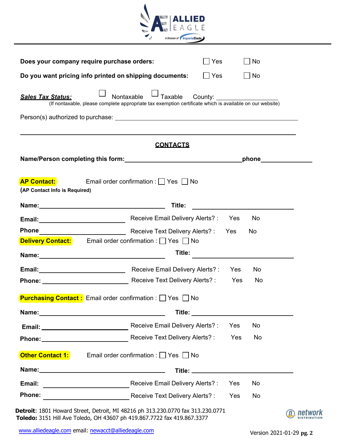

| Does your company require purchase orders:              |                                                                                                                                                                                                                                      | Yes                                        |            | ∏ No                |  |
|---------------------------------------------------------|--------------------------------------------------------------------------------------------------------------------------------------------------------------------------------------------------------------------------------------|--------------------------------------------|------------|---------------------|--|
| Do you want pricing info printed on shipping documents: | Yes                                                                                                                                                                                                                                  |                                            | ∣No        |                     |  |
| <b>Sales Tax Status:</b>                                | <sup>」</sup> Taxable<br>Nontaxable<br>(If nontaxable, please complete appropriate tax exemption certificate which is available on our website)                                                                                       |                                            |            |                     |  |
|                                                         |                                                                                                                                                                                                                                      |                                            |            |                     |  |
|                                                         | <u>CONTACTS</u>                                                                                                                                                                                                                      |                                            |            |                     |  |
|                                                         | Name/Person completing this form: Name of the state of the state of the state of the state of the state of the                                                                                                                       |                                            |            | _phone_____________ |  |
| <b>AP Contact:</b><br>(AP Contact Info is Required)     | Email order confirmation : $\Box$ Yes $\Box$ No<br>Title:                                                                                                                                                                            |                                            |            |                     |  |
|                                                         |                                                                                                                                                                                                                                      |                                            |            |                     |  |
|                                                         |                                                                                                                                                                                                                                      |                                            |            |                     |  |
|                                                         | Email: <u>Contract Contract Contract Contract Contract Contract Contract Contract Contract Contract Contract Contract Contract Contract Contract Contract Contract Contract Contract Contract Contract Contract Contract Contrac</u> |                                            |            | <b>No</b>           |  |
|                                                         | Receive Text Delivery Alerts?: Yes<br><b>Delivery Contact:</b> Email order confirmation : Yes No                                                                                                                                     |                                            |            | No.                 |  |
|                                                         | Title:                                                                                                                                                                                                                               |                                            |            |                     |  |
|                                                         |                                                                                                                                                                                                                                      |                                            |            | No                  |  |
|                                                         | <b>Email:</b> Yes Receive Email Delivery Alerts?: Yes<br>Phone: Marian Receive Text Delivery Alerts? :                                                                                                                               |                                            | Yes        | No.                 |  |
|                                                         | <b>Purchasing Contact :</b> Email order confirmation : □ Yes □ No                                                                                                                                                                    |                                            |            |                     |  |
|                                                         |                                                                                                                                                                                                                                      | Title: ___________________________________ |            |                     |  |
|                                                         | Receive Email Delivery Alerts? :                                                                                                                                                                                                     |                                            | <b>Yes</b> | No                  |  |
|                                                         | Receive Text Delivery Alerts?:                                                                                                                                                                                                       |                                            | Yes        | No                  |  |
|                                                         | Email order confirmation : $\Box$ Yes $\Box$ No                                                                                                                                                                                      |                                            |            |                     |  |
|                                                         |                                                                                                                                                                                                                                      |                                            |            |                     |  |
| <b>Phone</b><br><b>Other Contact 1:</b><br>Email:       | Receive Email Delivery Alerts? :                                                                                                                                                                                                     |                                            | Yes        | No                  |  |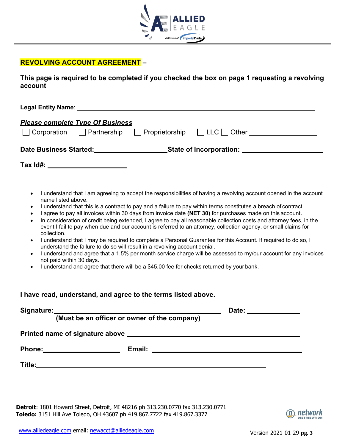

## **REVOLVING ACCOUNT AGREEMENT –**

**This page is required to be completed if you checked the box on page 1 requesting a revolving account** 

| <b>Please complete Type Of Business</b>                                                                                |                                                                                                                                                                                                                                                                                                                                                                                                                                                                                                                                                                                                                                                                                                                                                                                                                                                                                                                                                                                                              |
|------------------------------------------------------------------------------------------------------------------------|--------------------------------------------------------------------------------------------------------------------------------------------------------------------------------------------------------------------------------------------------------------------------------------------------------------------------------------------------------------------------------------------------------------------------------------------------------------------------------------------------------------------------------------------------------------------------------------------------------------------------------------------------------------------------------------------------------------------------------------------------------------------------------------------------------------------------------------------------------------------------------------------------------------------------------------------------------------------------------------------------------------|
|                                                                                                                        | Date Business Started:___________________________State of Incorporation: ___________________________                                                                                                                                                                                                                                                                                                                                                                                                                                                                                                                                                                                                                                                                                                                                                                                                                                                                                                         |
|                                                                                                                        |                                                                                                                                                                                                                                                                                                                                                                                                                                                                                                                                                                                                                                                                                                                                                                                                                                                                                                                                                                                                              |
| $\bullet$<br>name listed above.<br>٠<br>$\bullet$<br>$\bullet$<br>collection.<br>$\bullet$<br>not paid within 30 days. | I understand that I am agreeing to accept the responsibilities of having a revolving account opened in the account<br>I understand that this is a contract to pay and a failure to pay within terms constitutes a breach of contract.<br>I agree to pay all invoices within 30 days from invoice date (NET 30) for purchases made on this account.<br>In consideration of credit being extended, I agree to pay all reasonable collection costs and attorney fees, in the<br>event I fail to pay when due and our account is referred to an attorney, collection agency, or small claims for<br>I understand that I may be required to complete a Personal Guarantee for this Account. If required to do so, I<br>understand the failure to do so will result in a revolving account denial.<br>I understand and agree that a 1.5% per month service charge will be assessed to my/our account for any invoices<br>I understand and agree that there will be a \$45.00 fee for checks returned by your bank. |
|                                                                                                                        | I have read, understand, and agree to the terms listed above.                                                                                                                                                                                                                                                                                                                                                                                                                                                                                                                                                                                                                                                                                                                                                                                                                                                                                                                                                |
|                                                                                                                        |                                                                                                                                                                                                                                                                                                                                                                                                                                                                                                                                                                                                                                                                                                                                                                                                                                                                                                                                                                                                              |
|                                                                                                                        |                                                                                                                                                                                                                                                                                                                                                                                                                                                                                                                                                                                                                                                                                                                                                                                                                                                                                                                                                                                                              |
|                                                                                                                        | Phone: Email: Email: Email: Email: Email: Email: Email: Email: Email: Email: Email: Email: Email: Email: Email: Email: Email: Email: Email: Email: Email: Email: Email: Email: Email: Email: Email: Email: Email: Email: Email                                                                                                                                                                                                                                                                                                                                                                                                                                                                                                                                                                                                                                                                                                                                                                               |
|                                                                                                                        |                                                                                                                                                                                                                                                                                                                                                                                                                                                                                                                                                                                                                                                                                                                                                                                                                                                                                                                                                                                                              |
|                                                                                                                        |                                                                                                                                                                                                                                                                                                                                                                                                                                                                                                                                                                                                                                                                                                                                                                                                                                                                                                                                                                                                              |

**Detroit**: 1801 Howard Street, Detroit, MI 48216 ph 313.230.0770 fax 313.230.0771 **Toledo:** 3151 Hill Ave Toledo, OH 43607 ph 419.867.7722 fax 419.867.3377

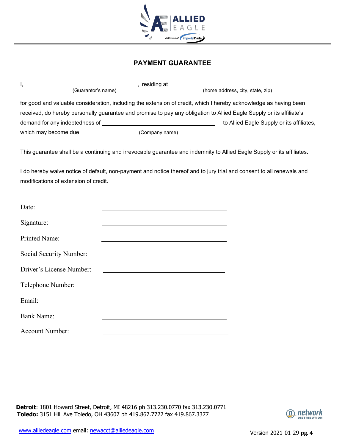

### **PAYMENT GUARANTEE**

|                                                                                                                      | residing at    |                                           |
|----------------------------------------------------------------------------------------------------------------------|----------------|-------------------------------------------|
| (Guarantor's name)                                                                                                   |                | (home address, city, state, zip)          |
| for good and valuable consideration, including the extension of credit, which I hereby acknowledge as having been    |                |                                           |
| received, do hereby personally guarantee and promise to pay any obligation to Allied Eagle Supply or its affiliate's |                |                                           |
| demand for any indebtedness of                                                                                       |                | to Allied Eagle Supply or its affiliates, |
| which may become due.                                                                                                | (Company name) |                                           |

This guarantee shall be a continuing and irrevocable guarantee and indemnity to Allied Eagle Supply or its affiliates.

I do hereby waive notice of default, non-payment and notice thereof and to jury trial and consent to all renewals and modifications of extension of credit.

| Date:                    |  |
|--------------------------|--|
| Signature:               |  |
| Printed Name:            |  |
| Social Security Number:  |  |
| Driver's License Number: |  |
| Telephone Number:        |  |
| Email:                   |  |
| <b>Bank Name:</b>        |  |
| <b>Account Number:</b>   |  |

**Detroit**: 1801 Howard Street, Detroit, MI 48216 ph 313.230.0770 fax 313.230.0771 **Toledo:** 3151 Hill Ave Toledo, OH 43607 ph 419.867.7722 fax 419.867.3377